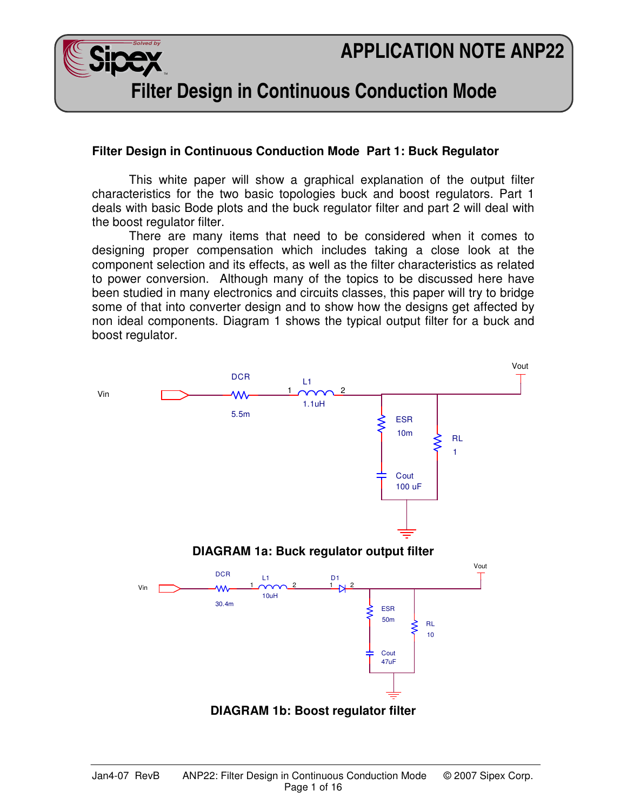# **APPLICATION NOTE ANP22**



**Filter Design in Continuous Conduction Mode** 

### **Filter Design in Continuous Conduction Mode Part 1: Buck Regulator**

 This white paper will show a graphical explanation of the output filter characteristics for the two basic topologies buck and boost regulators. Part 1 deals with basic Bode plots and the buck regulator filter and part 2 will deal with the boost regulator filter.

 There are many items that need to be considered when it comes to designing proper compensation which includes taking a close look at the component selection and its effects, as well as the filter characteristics as related to power conversion. Although many of the topics to be discussed here have been studied in many electronics and circuits classes, this paper will try to bridge some of that into converter design and to show how the designs get affected by non ideal components. Diagram 1 shows the typical output filter for a buck and boost regulator.

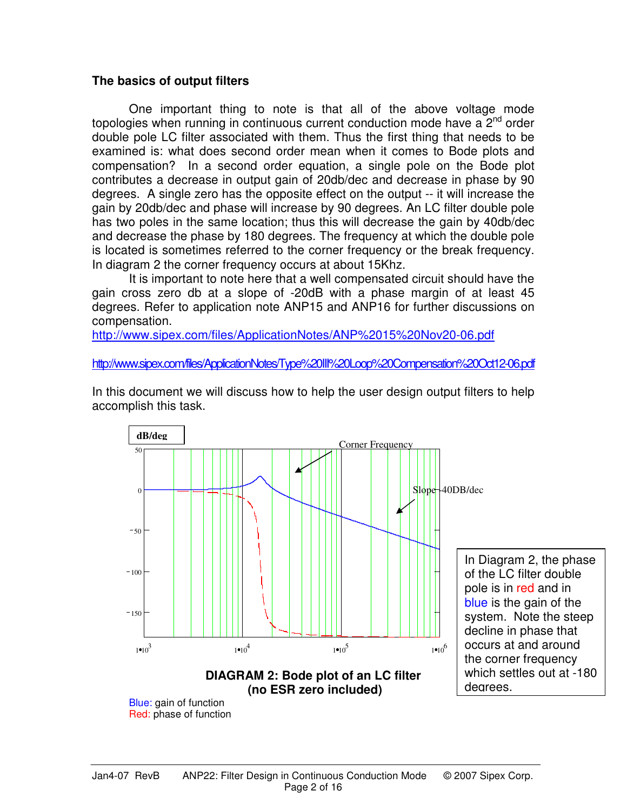#### **The basics of output filters**

 One important thing to note is that all of the above voltage mode topologies when running in continuous current conduction mode have a  $2^{nd}$  order double pole LC filter associated with them. Thus the first thing that needs to be examined is: what does second order mean when it comes to Bode plots and compensation? In a second order equation, a single pole on the Bode plot contributes a decrease in output gain of 20db/dec and decrease in phase by 90 degrees. A single zero has the opposite effect on the output -- it will increase the gain by 20db/dec and phase will increase by 90 degrees. An LC filter double pole has two poles in the same location; thus this will decrease the gain by 40db/dec and decrease the phase by 180 degrees. The frequency at which the double pole is located is sometimes referred to the corner frequency or the break frequency. In diagram 2 the corner frequency occurs at about 15Khz.

 It is important to note here that a well compensated circuit should have the gain cross zero db at a slope of -20dB with a phase margin of at least 45 degrees. Refer to application note ANP15 and ANP16 for further discussions on compensation.

http://www.sipex.com/files/ApplicationNotes/ANP%2015%20Nov20-06.pdf

http://www.sipex.com/files/ApplicationNotes/Type%20III%20Loop%20Compensation%20Oct12-06.pdf

In this document we will discuss how to help the user design output filters to help accomplish this task.

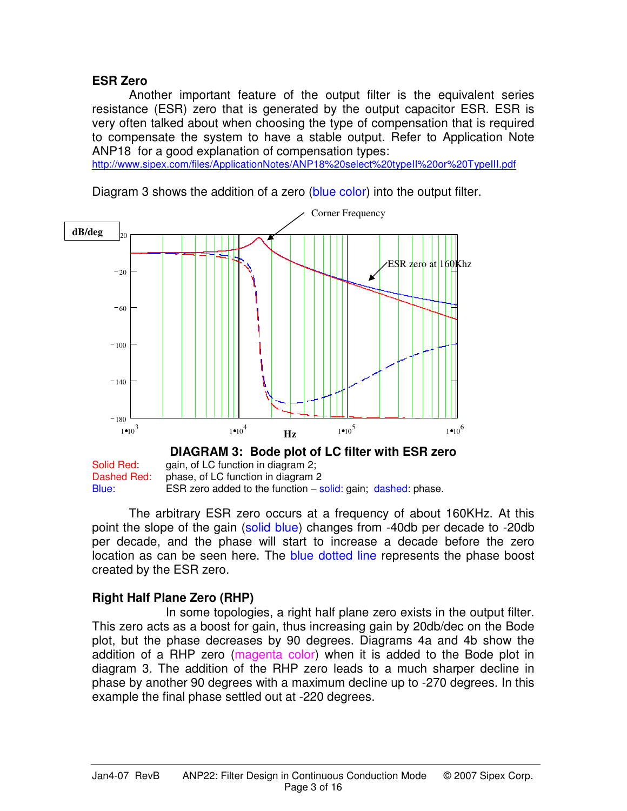# **ESR Zero**

 Another important feature of the output filter is the equivalent series resistance (ESR) zero that is generated by the output capacitor ESR. ESR is very often talked about when choosing the type of compensation that is required to compensate the system to have a stable output. Refer to Application Note ANP18 for a good explanation of compensation types:

http://www.sipex.com/files/ApplicationNotes/ANP18%20select%20typeII%20or%20TypeIII.pdf

 $1 \cdot 10^3$  $1 \cdot 10^4$  $1 \cdot 10^5$  $1 \cdot 10^6$  $-180$  $-140$  $-100$  $-60$  $-20$ 20 **DIAGRAM 3: Bode plot of LC filter with ESR zero** Corner Frequency ESR zero at 160Khz **dB/deg Hz**

Diagram 3 shows the addition of a zero (blue color) into the output filter.

Solid Red: gain, of LC function in diagram 2: Dashed Red: phase, of LC function in diagram 2 Blue: ESR zero added to the function  $-$  solid: gain; dashed: phase.

 The arbitrary ESR zero occurs at a frequency of about 160KHz. At this point the slope of the gain (solid blue) changes from -40db per decade to -20db per decade, and the phase will start to increase a decade before the zero location as can be seen here. The blue dotted line represents the phase boost created by the ESR zero.

# **Right Half Plane Zero (RHP)**

 In some topologies, a right half plane zero exists in the output filter. This zero acts as a boost for gain, thus increasing gain by 20db/dec on the Bode plot, but the phase decreases by 90 degrees. Diagrams 4a and 4b show the addition of a RHP zero (magenta color) when it is added to the Bode plot in diagram 3. The addition of the RHP zero leads to a much sharper decline in phase by another 90 degrees with a maximum decline up to -270 degrees. In this example the final phase settled out at -220 degrees.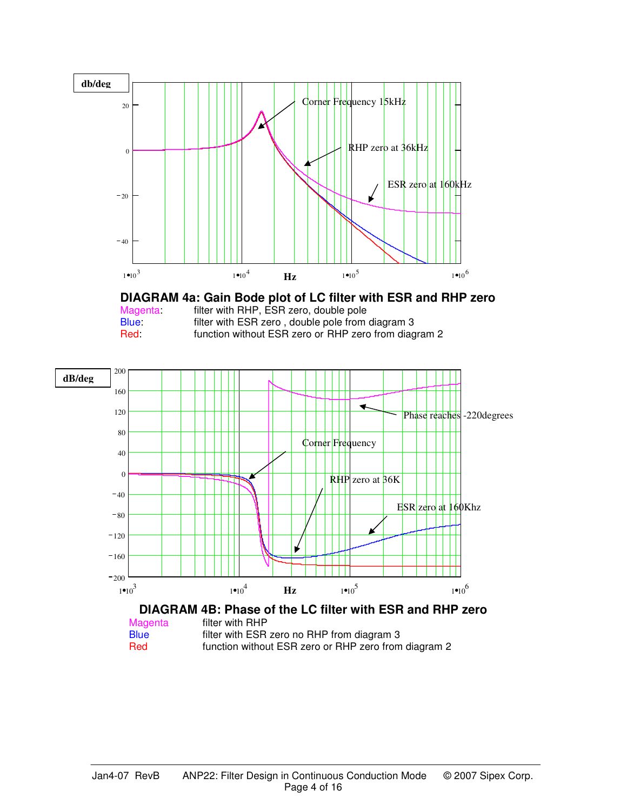

**DIAGRAM 4a Gain Bode plot of LC filter with ESR and RHP zero DIAGRAM 4a: Gain Bode plot of LC filter with ESR and RHP zero**

Magenta: filter with RHP, ESR zero, double pole Blue: filter with ESR zero, double pole from diagram 3 Red: function without ESR zero or RHP zero from diagram 2

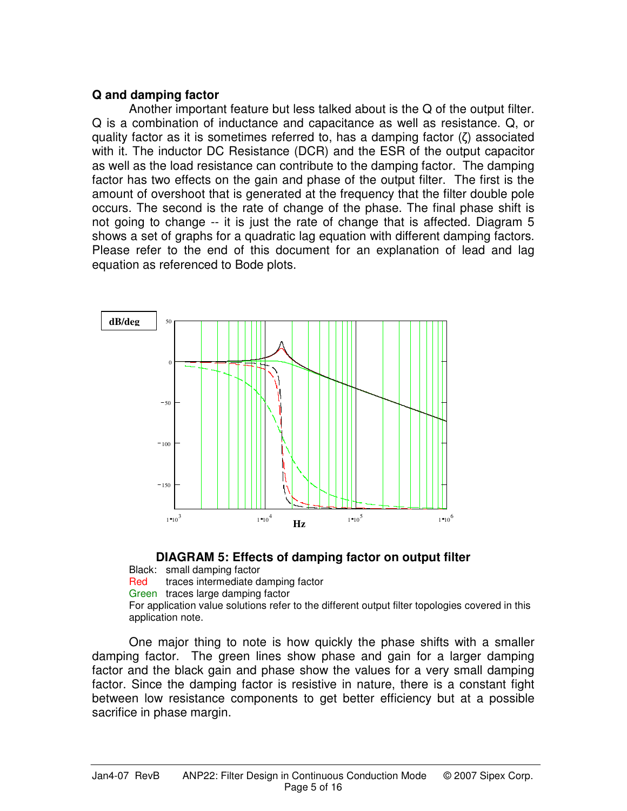### **Q and damping factor**

 Another important feature but less talked about is the Q of the output filter. Q is a combination of inductance and capacitance as well as resistance. Q, or quality factor as it is sometimes referred to, has a damping factor (ζ) associated with it. The inductor DC Resistance (DCR) and the ESR of the output capacitor as well as the load resistance can contribute to the damping factor. The damping factor has two effects on the gain and phase of the output filter. The first is the amount of overshoot that is generated at the frequency that the filter double pole occurs. The second is the rate of change of the phase. The final phase shift is not going to change -- it is just the rate of change that is affected. Diagram 5 shows a set of graphs for a quadratic lag equation with different damping factors. Please refer to the end of this document for an explanation of lead and lag equation as referenced to Bode plots.





Black: small damping factor Red traces intermediate damping factor Green traces large damping factor For application value solutions refer to the different output filter topologies covered in this application note.

One major thing to note is how quickly the phase shifts with a smaller damping factor. The green lines show phase and gain for a larger damping factor and the black gain and phase show the values for a very small damping factor. Since the damping factor is resistive in nature, there is a constant fight between low resistance components to get better efficiency but at a possible sacrifice in phase margin.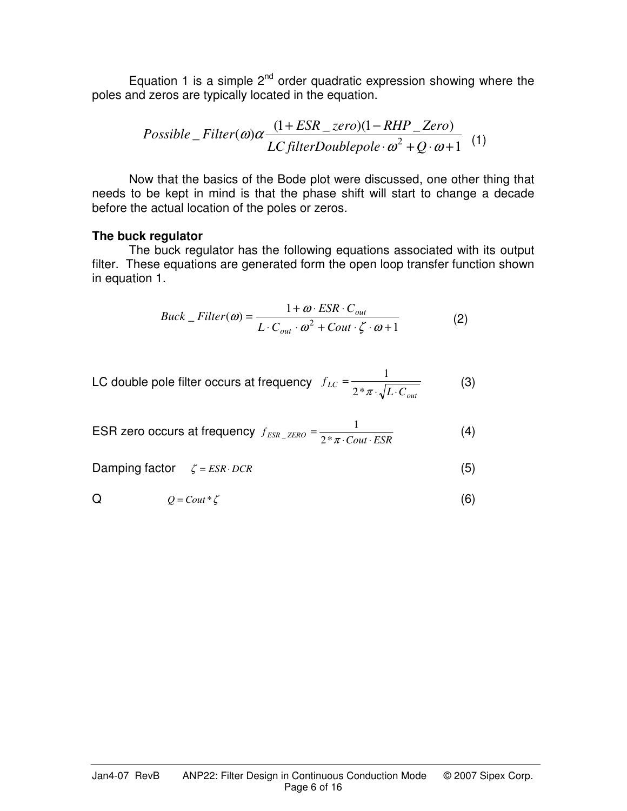Equation 1 is a simple  $2^{nd}$  order quadratic expression showing where the poles and zeros are typically located in the equation.

*Possible* – Filter(
$$
\omega
$$
) $\alpha \frac{(1 + ESR\_zero)(1 - RHP\_Zero)}{LC filterDoublepole \cdot \omega^2 + Q \cdot \omega + 1}$  (1)

 Now that the basics of the Bode plot were discussed, one other thing that needs to be kept in mind is that the phase shift will start to change a decade before the actual location of the poles or zeros.

#### **The buck regulator**

 The buck regulator has the following equations associated with its output filter. These equations are generated form the open loop transfer function shown in equation 1.

$$
Buck\_Filter(\omega) = \frac{1 + \omega \cdot ESR \cdot C_{out}}{L \cdot C_{out} \cdot \omega^2 + Cout \cdot \zeta \cdot \omega + 1}
$$
(2)

LC double pole filter occurs at frequency 
$$
f_{LC} = \frac{1}{2 * \pi \cdot \sqrt{L \cdot C_{out}}}
$$
 (3)

$$
\text{ESR zero occurs at frequency } f_{ESR\_ZERO} = \frac{1}{2 * \pi \cdot \text{Cout} \cdot \text{ESR}} \tag{4}
$$

Damping factor  $\zeta = ESR \cdot DCR$  (5)

$$
Q = \text{Cout} * \zeta \tag{6}
$$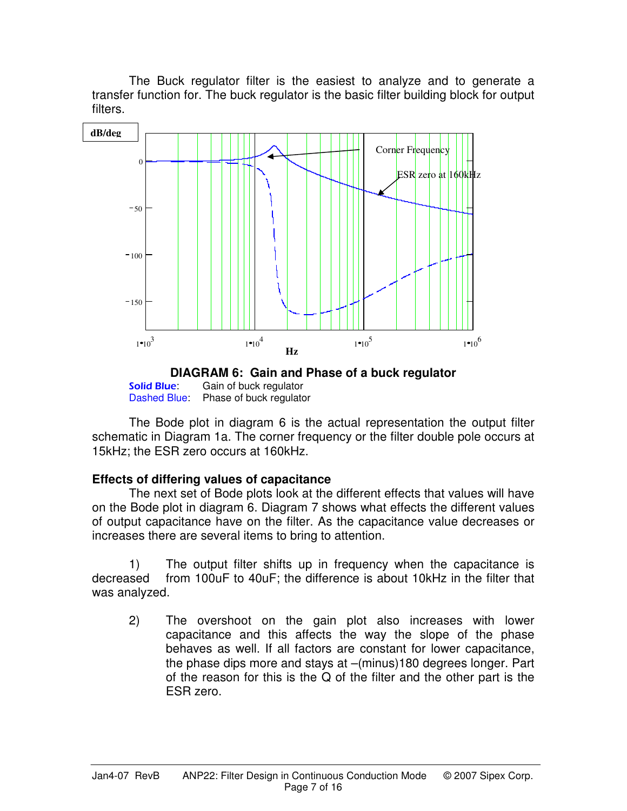The Buck regulator filter is the easiest to analyze and to generate a transfer function for. The buck regulator is the basic filter building block for output filters.



Gain of buck regulator Dashed Blue: Phase of buck regulator

 The Bode plot in diagram 6 is the actual representation the output filter schematic in Diagram 1a. The corner frequency or the filter double pole occurs at 15kHz; the ESR zero occurs at 160kHz.

# **Effects of differing values of capacitance**

 The next set of Bode plots look at the different effects that values will have on the Bode plot in diagram 6. Diagram 7 shows what effects the different values of output capacitance have on the filter. As the capacitance value decreases or increases there are several items to bring to attention.

 1) The output filter shifts up in frequency when the capacitance is decreased from 100uF to 40uF; the difference is about 10kHz in the filter that was analyzed.

2) The overshoot on the gain plot also increases with lower capacitance and this affects the way the slope of the phase behaves as well. If all factors are constant for lower capacitance, the phase dips more and stays at –(minus)180 degrees longer. Part of the reason for this is the Q of the filter and the other part is the ESR zero.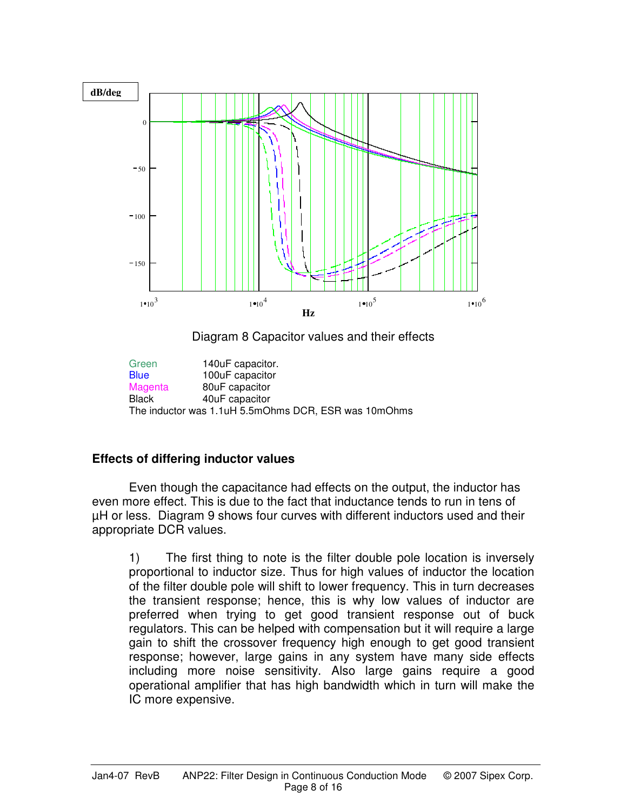

Diagram 8 Capacitor values and their effects

Green 140uF capacitor.<br>
Blue 100uF capacitor 100uF capacitor Magenta 80uF capacitor Black 40uF capacitor The inductor was 1.1uH 5.5mOhms DCR, ESR was 10mOhms

# **Effects of differing inductor values**

Even though the capacitance had effects on the output, the inductor has even more effect. This is due to the fact that inductance tends to run in tens of µH or less. Diagram 9 shows four curves with different inductors used and their appropriate DCR values.

1) The first thing to note is the filter double pole location is inversely proportional to inductor size. Thus for high values of inductor the location of the filter double pole will shift to lower frequency. This in turn decreases the transient response; hence, this is why low values of inductor are preferred when trying to get good transient response out of buck regulators. This can be helped with compensation but it will require a large gain to shift the crossover frequency high enough to get good transient response; however, large gains in any system have many side effects including more noise sensitivity. Also large gains require a good operational amplifier that has high bandwidth which in turn will make the IC more expensive.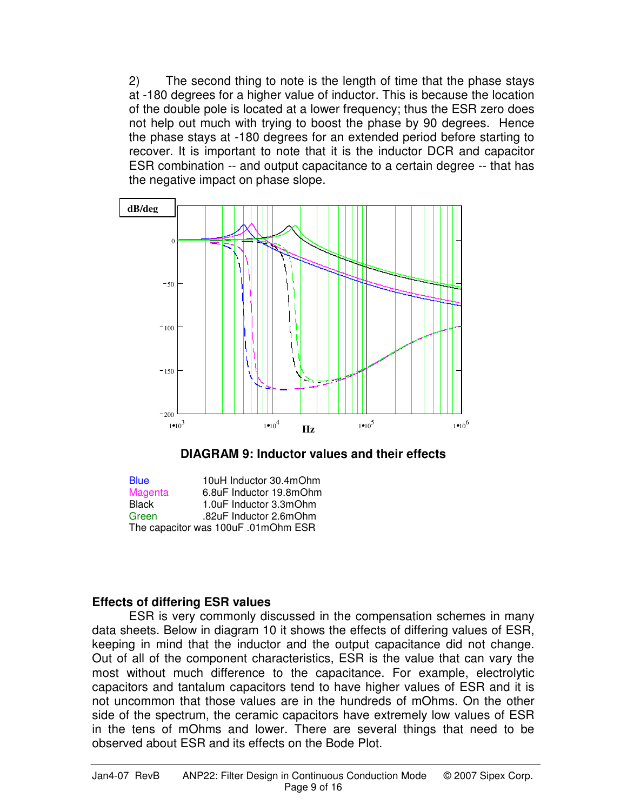2) The second thing to note is the length of time that the phase stays at -180 degrees for a higher value of inductor. This is because the location of the double pole is located at a lower frequency; thus the ESR zero does not help out much with trying to boost the phase by 90 degrees. Hence the phase stays at -180 degrees for an extended period before starting to recover. It is important to note that it is the inductor DCR and capacitor ESR combination -- and output capacitance to a certain degree -- that has the negative impact on phase slope.





Blue 10uH Inductor 30.4mOhm Magenta 6.8uF Inductor 19.8mOhm Black 1.0uF Inductor 3.3mOhm Green .82uF Inductor 2.6mOhm The capacitor was 100uF .01mOhm ESR

# **Effects of differing ESR values**

 ESR is very commonly discussed in the compensation schemes in many data sheets. Below in diagram 10 it shows the effects of differing values of ESR, keeping in mind that the inductor and the output capacitance did not change. Out of all of the component characteristics, ESR is the value that can vary the most without much difference to the capacitance. For example, electrolytic capacitors and tantalum capacitors tend to have higher values of ESR and it is not uncommon that those values are in the hundreds of mOhms. On the other side of the spectrum, the ceramic capacitors have extremely low values of ESR in the tens of mOhms and lower. There are several things that need to be observed about ESR and its effects on the Bode Plot.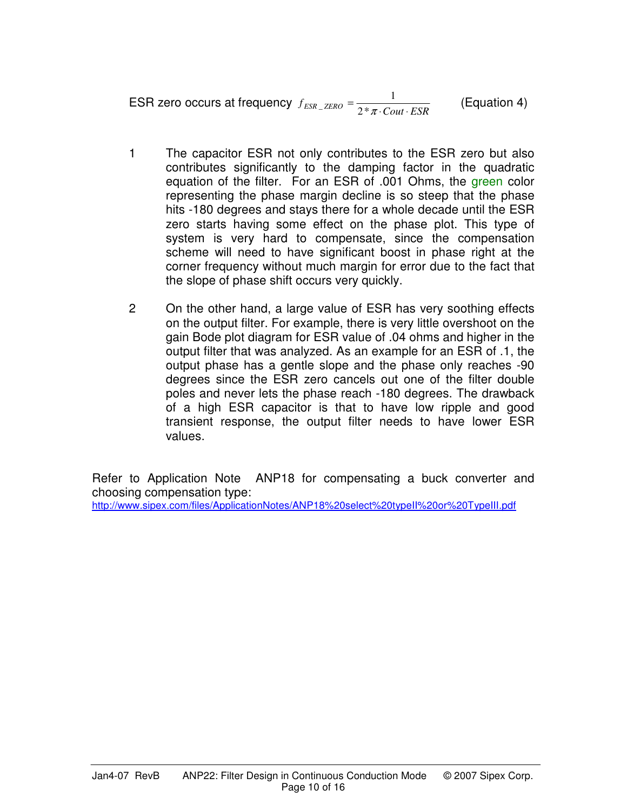$$
\text{ESR zero occurs at frequency } f_{ESR\_ZERO} = \frac{1}{2 * \pi \cdot \text{Cout} \cdot \text{ESR}} \qquad \text{(Equation 4)}
$$

- 1 The capacitor ESR not only contributes to the ESR zero but also contributes significantly to the damping factor in the quadratic equation of the filter. For an ESR of .001 Ohms, the green color representing the phase margin decline is so steep that the phase hits -180 degrees and stays there for a whole decade until the ESR zero starts having some effect on the phase plot. This type of system is very hard to compensate, since the compensation scheme will need to have significant boost in phase right at the corner frequency without much margin for error due to the fact that the slope of phase shift occurs very quickly.
- 2 On the other hand, a large value of ESR has very soothing effects on the output filter. For example, there is very little overshoot on the gain Bode plot diagram for ESR value of .04 ohms and higher in the output filter that was analyzed. As an example for an ESR of .1, the output phase has a gentle slope and the phase only reaches -90 degrees since the ESR zero cancels out one of the filter double poles and never lets the phase reach -180 degrees. The drawback of a high ESR capacitor is that to have low ripple and good transient response, the output filter needs to have lower ESR values.

Refer to Application Note ANP18 for compensating a buck converter and choosing compensation type: http://www.sipex.com/files/ApplicationNotes/ANP18%20select%20typeII%20or%20TypeIII.pdf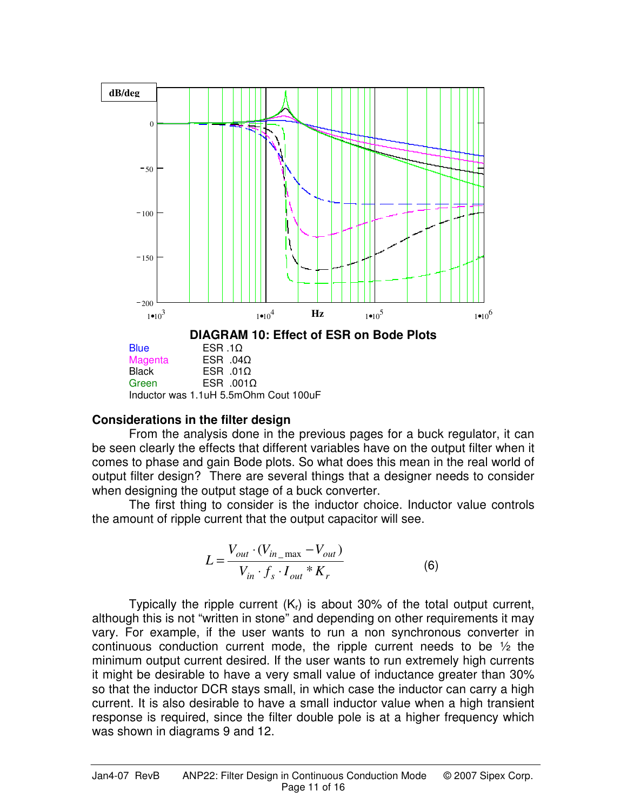

#### **Considerations in the filter design**

From the analysis done in the previous pages for a buck regulator, it can be seen clearly the effects that different variables have on the output filter when it comes to phase and gain Bode plots. So what does this mean in the real world of output filter design? There are several things that a designer needs to consider when designing the output stage of a buck converter.

 The first thing to consider is the inductor choice. Inductor value controls the amount of ripple current that the output capacitor will see.

$$
L = \frac{V_{out} \cdot (V_{in\_max} - V_{out})}{V_{in} \cdot f_s \cdot I_{out} * K_r}
$$
 (6)

Typically the ripple current  $(K<sub>r</sub>)$  is about 30% of the total output current, although this is not "written in stone" and depending on other requirements it may vary. For example, if the user wants to run a non synchronous converter in continuous conduction current mode, the ripple current needs to be ½ the minimum output current desired. If the user wants to run extremely high currents it might be desirable to have a very small value of inductance greater than 30% so that the inductor DCR stays small, in which case the inductor can carry a high current. It is also desirable to have a small inductor value when a high transient response is required, since the filter double pole is at a higher frequency which was shown in diagrams 9 and 12.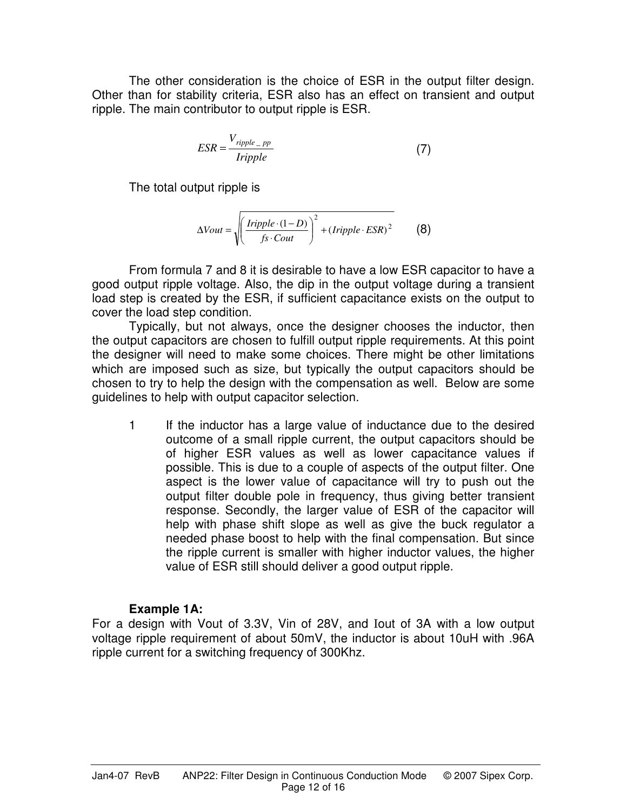The other consideration is the choice of ESR in the output filter design. Other than for stability criteria, ESR also has an effect on transient and output ripple. The main contributor to output ripple is ESR.

$$
ESR = \frac{V_{ripple - pp}}{Iripple}
$$
 (7)

The total output ripple is

$$
\Delta Vout = \sqrt{\left(\frac{Iripple \cdot (1-D)}{fs \cdot Cout}\right)^2 + (Iripple \cdot ESR)^2}
$$
 (8)

 From formula 7 and 8 it is desirable to have a low ESR capacitor to have a good output ripple voltage. Also, the dip in the output voltage during a transient load step is created by the ESR, if sufficient capacitance exists on the output to cover the load step condition.

 Typically, but not always, once the designer chooses the inductor, then the output capacitors are chosen to fulfill output ripple requirements. At this point the designer will need to make some choices. There might be other limitations which are imposed such as size, but typically the output capacitors should be chosen to try to help the design with the compensation as well. Below are some guidelines to help with output capacitor selection.

1 If the inductor has a large value of inductance due to the desired outcome of a small ripple current, the output capacitors should be of higher ESR values as well as lower capacitance values if possible. This is due to a couple of aspects of the output filter. One aspect is the lower value of capacitance will try to push out the output filter double pole in frequency, thus giving better transient response. Secondly, the larger value of ESR of the capacitor will help with phase shift slope as well as give the buck regulator a needed phase boost to help with the final compensation. But since the ripple current is smaller with higher inductor values, the higher value of ESR still should deliver a good output ripple.

# **Example 1A:**

For a design with Vout of 3.3V, Vin of 28V, and Iout of 3A with a low output voltage ripple requirement of about 50mV, the inductor is about 10uH with .96A ripple current for a switching frequency of 300Khz.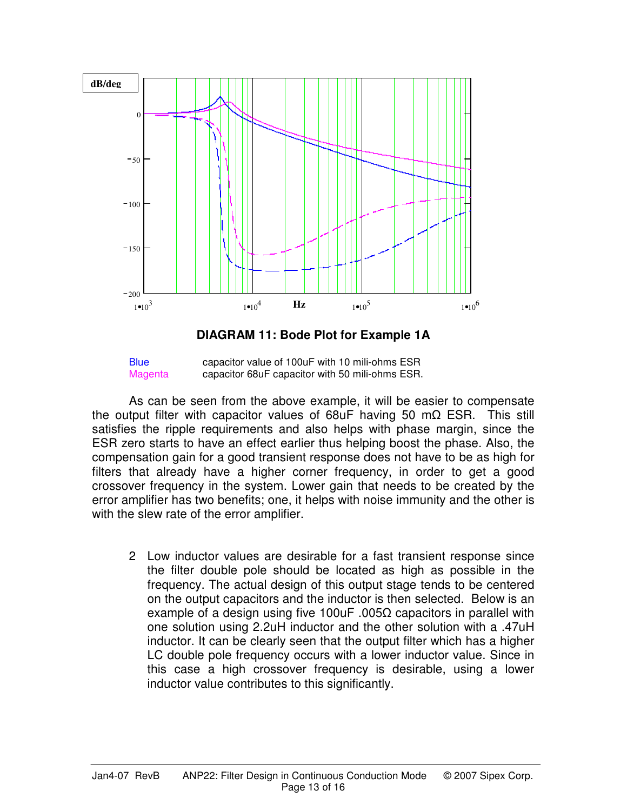

**DIAGRAM 11: Bode Plot for Example 1A** 

Blue capacitor value of 100uF with 10 mili-ohms ESR Magenta capacitor 68uF capacitor with 50 mili-ohms ESR.

 As can be seen from the above example, it will be easier to compensate the output filter with capacitor values of 68uF having 50 mΩ ESR. This still satisfies the ripple requirements and also helps with phase margin, since the ESR zero starts to have an effect earlier thus helping boost the phase. Also, the compensation gain for a good transient response does not have to be as high for filters that already have a higher corner frequency, in order to get a good crossover frequency in the system. Lower gain that needs to be created by the error amplifier has two benefits; one, it helps with noise immunity and the other is with the slew rate of the error amplifier.

2 Low inductor values are desirable for a fast transient response since the filter double pole should be located as high as possible in the frequency. The actual design of this output stage tends to be centered on the output capacitors and the inductor is then selected. Below is an example of a design using five 100uF .005 $\Omega$  capacitors in parallel with one solution using 2.2uH inductor and the other solution with a .47uH inductor. It can be clearly seen that the output filter which has a higher LC double pole frequency occurs with a lower inductor value. Since in this case a high crossover frequency is desirable, using a lower inductor value contributes to this significantly.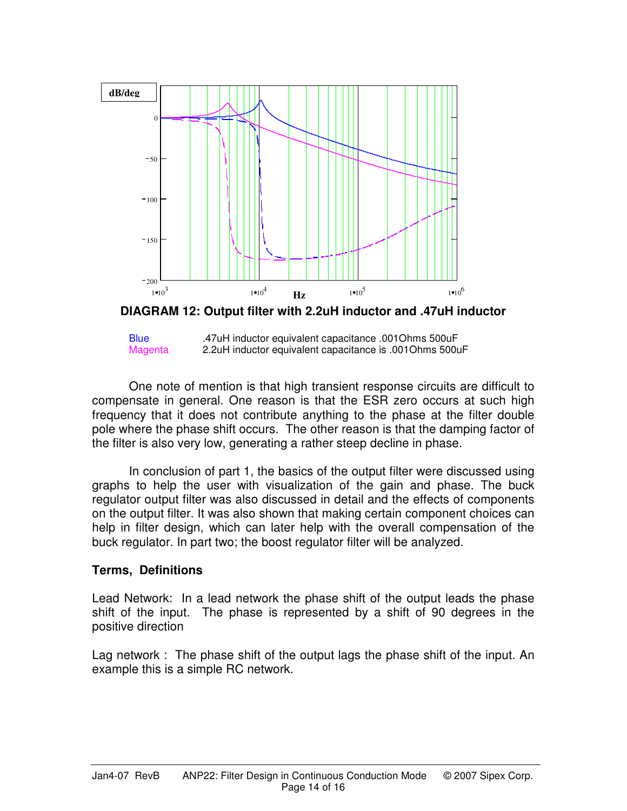

**DIAGRAM 12: Output filter with 2.2uH inductor and .47uH inductor** 



 One note of mention is that high transient response circuits are difficult to compensate in general. One reason is that the ESR zero occurs at such high frequency that it does not contribute anything to the phase at the filter double pole where the phase shift occurs. The other reason is that the damping factor of the filter is also very low, generating a rather steep decline in phase.

 In conclusion of part 1, the basics of the output filter were discussed using graphs to help the user with visualization of the gain and phase. The buck regulator output filter was also discussed in detail and the effects of components on the output filter. It was also shown that making certain component choices can help in filter design, which can later help with the overall compensation of the buck regulator. In part two; the boost regulator filter will be analyzed.

# **Terms, Definitions**

Lead Network: In a lead network the phase shift of the output leads the phase shift of the input. The phase is represented by a shift of 90 degrees in the positive direction

Lag network : The phase shift of the output lags the phase shift of the input. An example this is a simple RC network.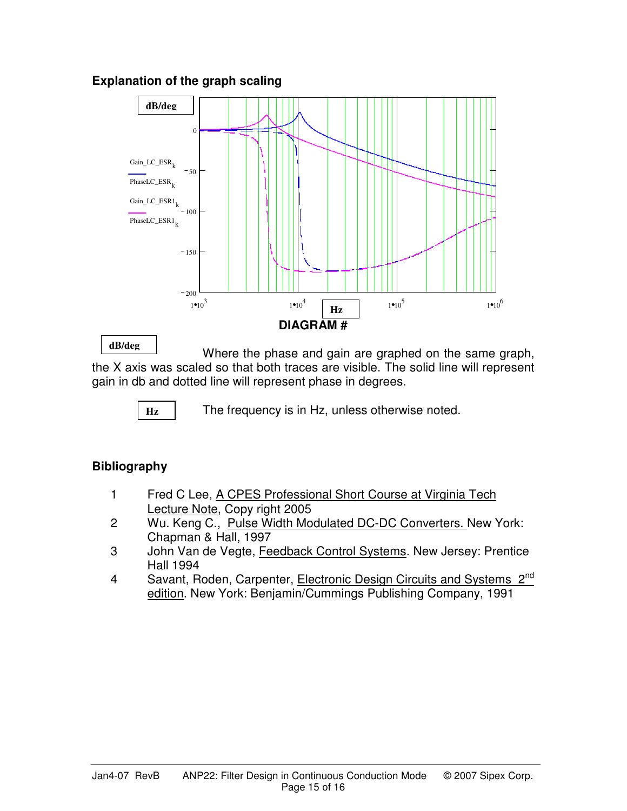# **Explanation of the graph scaling**



**dB/deg**

Where the phase and gain are graphed on the same graph, the X axis was scaled so that both traces are visible. The solid line will represent gain in db and dotted line will represent phase in degrees.

**Hz**

The frequency is in Hz, unless otherwise noted.

# **Bibliography**

- 1 Fred C Lee, A CPES Professional Short Course at Virginia Tech Lecture Note, Copy right 2005
- 2 Wu. Keng C., Pulse Width Modulated DC-DC Converters. New York: Chapman & Hall, 1997
- 3 John Van de Vegte, Feedback Control Systems. New Jersey: Prentice Hall 1994
- 4 Savant, Roden, Carpenter, Electronic Design Circuits and Systems 2<sup>nd</sup> edition. New York: Benjamin/Cummings Publishing Company, 1991